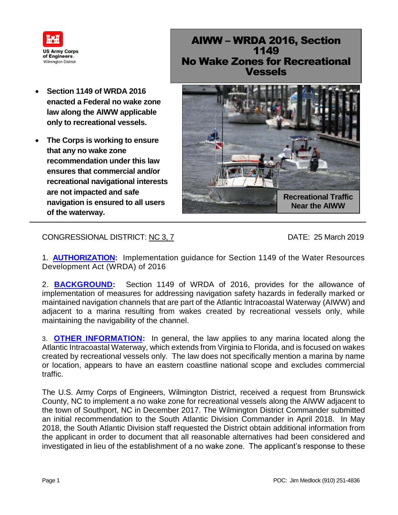

- **Section 1149 of WRDA 2016 enacted a Federal no wake zone law along the AIWW applicable only to recreational vessels.**
- **The Corps is working to ensure that any no wake zone recommendation under this law ensures that commercial and/or recreational navigational interests are not impacted and safe navigation is ensured to all users of the waterway.**

## AIWW – WRDA 2016, Section 1149 No Wake Zones for Recreational Vessels



CONGRESSIONAL DISTRICT: NC 3, 7 DATE: 25 March 2019

1. **AUTHORIZATION:** Implementation guidance for Section 1149 of the Water Resources Development Act (WRDA) of 2016

2. **BACKGROUND:** Section 1149 of WRDA of 2016, provides for the allowance of implementation of measures for addressing navigation safety hazards in federally marked or maintained navigation channels that are part of the Atlantic Intracoastal Waterway (AIWW) and adjacent to a marina resulting from wakes created by recreational vessels only, while maintaining the navigability of the channel.

3. **OTHER INFORMATION:** In general, the law applies to any marina located along the Atlantic Intracoastal Waterway, which extends from Virginia to Florida, and is focused on wakes created by recreational vessels only. The law does not specifically mention a marina by name or location, appears to have an eastern coastline national scope and excludes commercial traffic.

The U.S. Army Corps of Engineers, Wilmington District, received a request from Brunswick County, NC to implement a no wake zone for recreational vessels along the AIWW adjacent to the town of Southport, NC in December 2017. The Wilmington District Commander submitted an initial recommendation to the South Atlantic Division Commander in April 2018. In May 2018, the South Atlantic Division staff requested the District obtain additional information from the applicant in order to document that all reasonable alternatives had been considered and investigated in lieu of the establishment of a no wake zone. The applicant's response to these